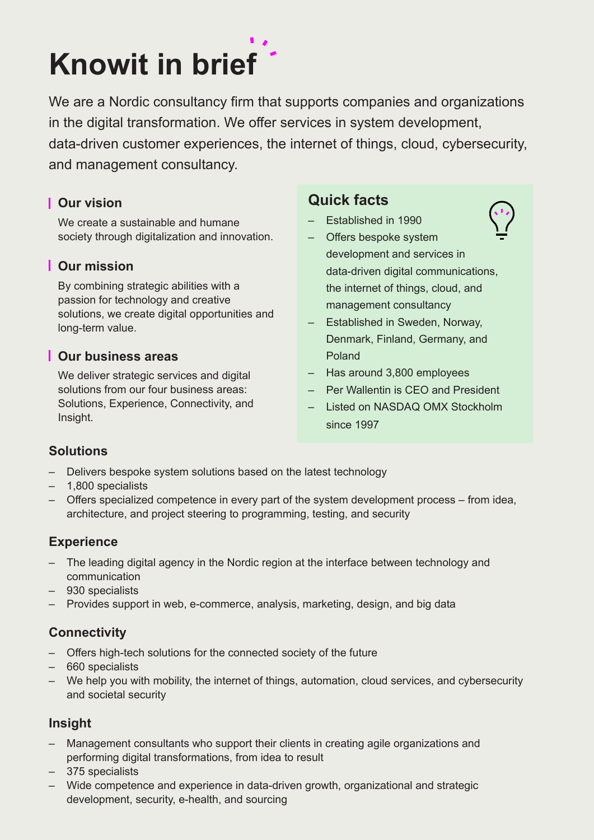# **Knowit in brief**

We are a Nordic consultancy firm that supports companies and organizations in the digital transformation. We offer services in system development, data-driven customer experiences, the internet of things, cloud, cybersecurity, and management consultancy.

# **Our vision**

We create a sustainable and humane society through digitalization and innovation.

# **Our mission**

By combining strategic abilities with a passion for technology and creative solutions, we create digital opportunities and long-term value.

### **Our business areas**

We deliver strategic services and digital solutions from our four business areas: Solutions, Experience, Connectivity, and Insight.

# **Quick facts**

- Established in 1990
- Offers bespoke system development and services in data-driven digital communications, the internet of things, cloud, and management consultancy
- Established in Sweden, Norway, Denmark, Finland, Germany, and Poland
- Has around 3,800 employees
- Per Wallentin is CEO and President
- Listed on NASDAQ OMX Stockholm since 1997

# **Solutions**

- Delivers bespoke system solutions based on the latest technology
- 1,800 specialists
- Offers specialized competence in every part of the system development process from idea, architecture, and project steering to programming, testing, and security

# **Experience**

- The leading digital agency in the Nordic region at the interface between technology and communication
- 930 specialists
- Provides support in web, e-commerce, analysis, marketing, design, and big data

# **Connectivity**

- Offers high-tech solutions for the connected society of the future
- 660 specialists
- We help you with mobility, the internet of things, automation, cloud services, and cybersecurity and societal security

# **Insight**

- Management consultants who support their clients in creating agile organizations and performing digital transformations, from idea to result
- 375 specialists
- Wide competence and experience in data-driven growth, organizational and strategic development, security, e-health, and sourcing